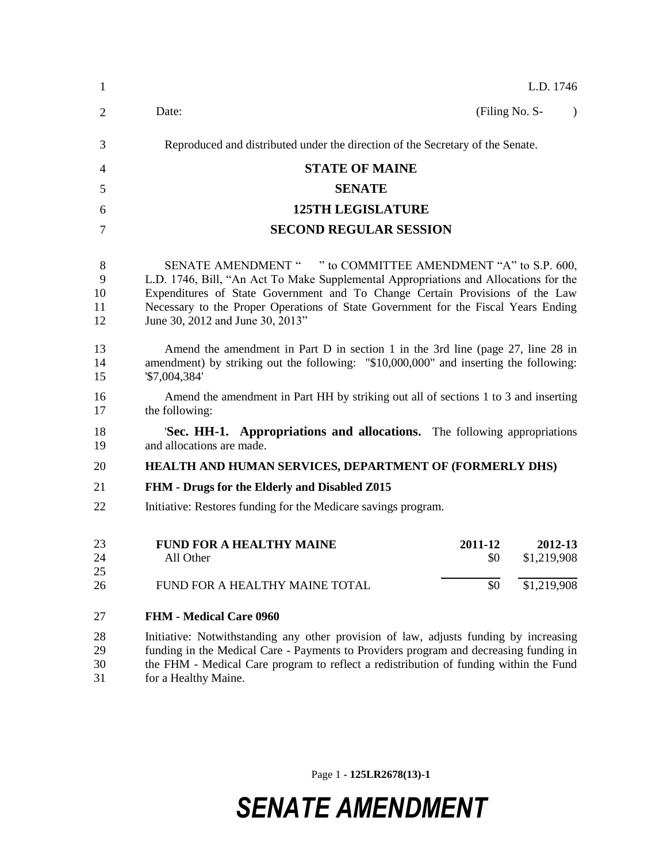| 1                        | L.D. 1746                                                                                                                                                                                                                                                                                                                                                      |  |  |
|--------------------------|----------------------------------------------------------------------------------------------------------------------------------------------------------------------------------------------------------------------------------------------------------------------------------------------------------------------------------------------------------------|--|--|
| $\overline{2}$           | Date:<br>(Filing No. S-<br>$\lambda$                                                                                                                                                                                                                                                                                                                           |  |  |
| 3                        | Reproduced and distributed under the direction of the Secretary of the Senate.                                                                                                                                                                                                                                                                                 |  |  |
| 4                        | <b>STATE OF MAINE</b>                                                                                                                                                                                                                                                                                                                                          |  |  |
| 5                        | <b>SENATE</b>                                                                                                                                                                                                                                                                                                                                                  |  |  |
| 6                        | <b>125TH LEGISLATURE</b>                                                                                                                                                                                                                                                                                                                                       |  |  |
| 7                        | <b>SECOND REGULAR SESSION</b>                                                                                                                                                                                                                                                                                                                                  |  |  |
| 8<br>9<br>10<br>11<br>12 | SENATE AMENDMENT " " to COMMITTEE AMENDMENT "A" to S.P. 600,<br>L.D. 1746, Bill, "An Act To Make Supplemental Appropriations and Allocations for the<br>Expenditures of State Government and To Change Certain Provisions of the Law<br>Necessary to the Proper Operations of State Government for the Fiscal Years Ending<br>June 30, 2012 and June 30, 2013" |  |  |
| 13<br>14<br>15           | Amend the amendment in Part D in section 1 in the 3rd line (page 27, line 28 in<br>amendment) by striking out the following: "\$10,000,000" and inserting the following:<br>'\$7,004,384'                                                                                                                                                                      |  |  |
| 16<br>17                 | Amend the amendment in Part HH by striking out all of sections 1 to 3 and inserting<br>the following:                                                                                                                                                                                                                                                          |  |  |
| 18<br>19                 | 'Sec. HH-1. Appropriations and allocations. The following appropriations<br>and allocations are made.                                                                                                                                                                                                                                                          |  |  |
| 20                       | HEALTH AND HUMAN SERVICES, DEPARTMENT OF (FORMERLY DHS)                                                                                                                                                                                                                                                                                                        |  |  |
| 21                       | FHM - Drugs for the Elderly and Disabled Z015                                                                                                                                                                                                                                                                                                                  |  |  |
| 22                       | Initiative: Restores funding for the Medicare savings program.                                                                                                                                                                                                                                                                                                 |  |  |
| 23<br>24<br>25<br>26     | <b>FUND FOR A HEALTHY MAINE</b><br>2012-13<br>2011-12<br>\$1,219,908<br>All Other<br>\$0<br>\$0<br>\$1,219,908<br>FUND FOR A HEALTHY MAINE TOTAL                                                                                                                                                                                                               |  |  |
|                          |                                                                                                                                                                                                                                                                                                                                                                |  |  |
| 27                       | <b>FHM - Medical Care 0960</b>                                                                                                                                                                                                                                                                                                                                 |  |  |
| 28<br>29<br>30<br>31     | Initiative: Notwithstanding any other provision of law, adjusts funding by increasing<br>funding in the Medical Care - Payments to Providers program and decreasing funding in<br>the FHM - Medical Care program to reflect a redistribution of funding within the Fund<br>for a Healthy Maine.                                                                |  |  |

Page 1 **- 125LR2678(13)-1**

# *SENATE AMENDMENT*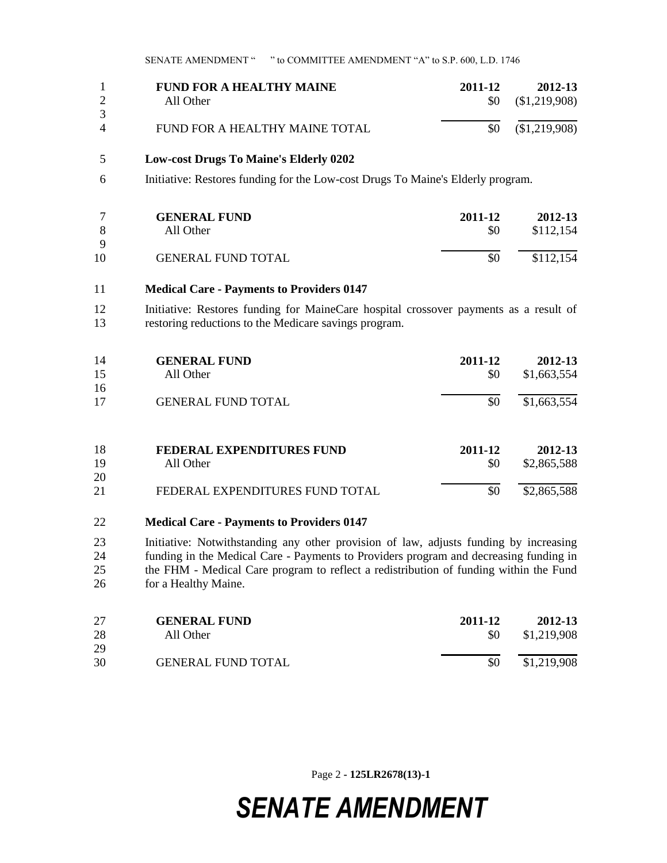|                     | <b>FUND FOR A HEALTHY MAINE</b><br>All Other | 2011-12 | 2012-13<br>$$0 \quad ($1,219,908)$ |
|---------------------|----------------------------------------------|---------|------------------------------------|
| 3<br>$\overline{4}$ | FUND FOR A HEALTHY MAINE TOTAL               |         | $$0 \quad ($1,219,908)$            |
|                     |                                              |         |                                    |

### **Low-cost Drugs To Maine's Elderly 0202**

Initiative: Restores funding for the Low-cost Drugs To Maine's Elderly program.

|    | <b>GENERAL FUND</b>       | 2011-12 | 2012-13   |
|----|---------------------------|---------|-----------|
|    | All Other                 | \$0     | \$112,154 |
| Q  |                           |         |           |
| 10 | <b>GENERAL FUND TOTAL</b> | \$0     | \$112,154 |

#### **Medical Care - Payments to Providers 0147**

 Initiative: Restores funding for MaineCare hospital crossover payments as a result of restoring reductions to the Medicare savings program.

| 14<br>15 | <b>GENERAL FUND</b><br>All Other | 2011-12<br>\$0 | 2012-13<br>\$1,663,554 |
|----------|----------------------------------|----------------|------------------------|
| 16       |                                  |                |                        |
| 17       | <b>GENERAL FUND TOTAL</b>        | \$0            | \$1,663,554            |
| 18       | <b>FEDERAL EXPENDITURES FUND</b> | 2011-12        | 2012-13                |
| 19       | All Other                        | \$0            | \$2,865,588            |
| 20       |                                  |                |                        |
| 21       | FEDERAL EXPENDITURES FUND TOTAL  | \$0            | \$2,865,588            |

### **Medical Care - Payments to Providers 0147**

 Initiative: Notwithstanding any other provision of law, adjusts funding by increasing 24 funding in the Medical Care - Payments to Providers program and decreasing funding in the FHM - Medical Care program to reflect a redistribution of funding within the Fund for a Healthy Maine.

| 27 | <b>GENERAL FUND</b>       | 2011-12 | 2012-13     |
|----|---------------------------|---------|-------------|
| 28 | All Other                 | \$0     | \$1,219,908 |
| 29 |                           |         |             |
| 30 | <b>GENERAL FUND TOTAL</b> | \$0     | \$1,219,908 |

Page 2 **- 125LR2678(13)-1**

# *SENATE AMENDMENT*